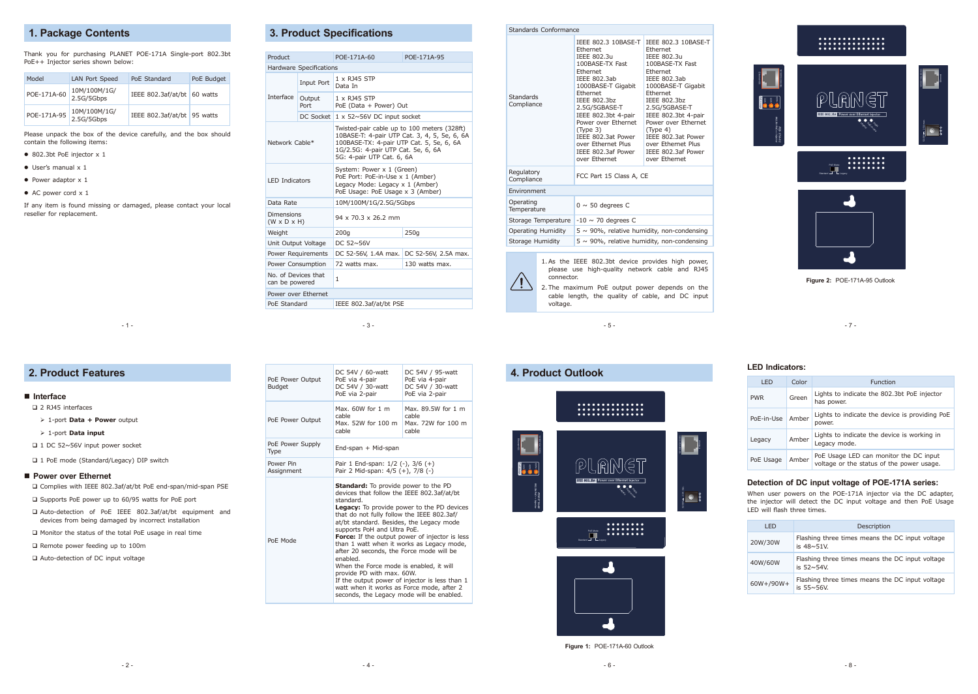- 3 -

- 5 -

- 7 -

# **1. Package Contents**

Thank you for purchasing PLANET POE-171A Single-port 802.3bt PoE++ Injector series shown below:

| Model       | LAN Port Speed             | PoE Standard                  | PoE Budget |
|-------------|----------------------------|-------------------------------|------------|
| POE-171A-60 | 10M/100M/1G/<br>2.5G/5Gbps | IEEE 802.3af/at/bt 60 watts   |            |
| POE-171A-95 | 10M/100M/1G/<br>2.5G/5Gbps | IEEE 802.3af/at/bt   95 watts |            |

Please unpack the box of the device carefully, and the box should contain the following items:

- 802.3bt PoE injector x 1
- $\bullet$  User's manual  $\times$  1
- $\bullet$  Power adaptor  $\times$  1
- AC power cord x 1

If any item is found missing or damaged, please contact your local reseller for replacement.

 $-1 -$ 

# **3. Product Specifications**

#### Standards Conformance **Standards Compliance** IEEE 802.3 10BASE-T IEEE 802.3 10BASE-T **Ethernet IEEE 802.3u** 100BASE-TX Fast **Ethernet** IEEE 802.3ab 1000BASE-T Gigabit Ethernet  $IFFF 802.3<sub>bz</sub>$ 2.5G/5GBASE-T IEEE 802.3bt 4-pair Power over Ethernet (Type 3) IEEE 802.3at Power over Ethernet Plus IEEE 802.3af Power over Ethernet **Ethernet IEEE 802.3u** 100BASE-TX Fast **Ethernet** IEEE 802.3ab 1000BASE-T Gigabit **Ethernet**  $I$ FEEE 802.3bz 2.5G/5GBASE-T IEEE 802.3bt 4-pair Power over Ethernet (Type 4) IEEE 802.3at Power over Ethernet Plus IEEE 802.3af Power over Ethernet Regulatory<br>Compliance FCC Part 15 Class A, CE Environment Operating<br>Temperature  $0 \sim 50$  degrees C Storage Temperature  $-10 \sim 70$  degrees C Operating Humidity  $\begin{bmatrix} 5 & 90\% \\ 7 & 90\% \end{bmatrix}$  relative humidity, non-condensing Storage Humidity  $\boxed{5 \sim 90\%}$ , relative humidity, non-condensing



| Product                                      |                         | POF-171A-60                                                                                                                                                                                                | POF-171A-95          |  |
|----------------------------------------------|-------------------------|------------------------------------------------------------------------------------------------------------------------------------------------------------------------------------------------------------|----------------------|--|
|                                              | Hardware Specifications |                                                                                                                                                                                                            |                      |  |
|                                              | Input Port              | 1 x R145 STP<br>Data In                                                                                                                                                                                    |                      |  |
| Interface                                    | Output<br>Port          | 1 x RJ45 STP<br>PoE (Data + Power) Out                                                                                                                                                                     |                      |  |
|                                              | <b>DC Socket</b>        | $1 \times 52 \sim 56V$ DC input socket                                                                                                                                                                     |                      |  |
| Network Cable*                               |                         | Twisted-pair cable up to 100 meters (328ft)<br>10BASE-T: 4-pair UTP Cat. 3, 4, 5, 5e, 6, 6A<br>100BASE-TX: 4-pair UTP Cat. 5, 5e, 6, 6A<br>1G/2.5G: 4-pair UTP Cat. 5e, 6, 6A<br>5G: 4-pair UTP Cat. 6, 6A |                      |  |
| <b>LED Indicators</b>                        |                         | System: Power x 1 (Green)<br>PoE Port: PoE-in-Use x 1 (Amber)<br>Legacy Mode: Legacy x 1 (Amber)<br>PoE Usage: PoE Usage x 3 (Amber)                                                                       |                      |  |
| Data Rate                                    |                         | 10M/100M/1G/2.5G/5Gbps                                                                                                                                                                                     |                      |  |
| <b>Dimensions</b><br>$(W \times D \times H)$ |                         | 94 x 70.3 x 26.2 mm                                                                                                                                                                                        |                      |  |
| Weight                                       |                         | 200q                                                                                                                                                                                                       | 250q                 |  |
| Unit Output Voltage                          |                         | DC $52 \sim 56V$                                                                                                                                                                                           |                      |  |
|                                              | Power Requirements      | DC 52-56V, 1.4A max.                                                                                                                                                                                       | DC 52-56V, 2.5A max. |  |
| Power Consumption                            |                         | 72 watts max.                                                                                                                                                                                              | 130 watts max.       |  |
| No. of Devices that<br>can be powered        |                         | $\mathbf{1}$                                                                                                                                                                                               |                      |  |
|                                              | Power over Ethernet     |                                                                                                                                                                                                            |                      |  |
| PoE Standard                                 |                         | IEEE 802.3af/at/bt PSE                                                                                                                                                                                     |                      |  |

- 1-port **Data + Power** output
- 1-port **Data input**
- □ 1 DC 52~56V input power socket
- □ 1 PoE mode (Standard/Legacy) DIP switch

#### ■ Power over Ethernet

- Auto-detection of PoE IEEE 802.3af/at/bt equipment and devices from being damaged by incorrect installation
- □ Monitor the status of the total PoE usage in real time

□ Remote power feeding up to 100m

□ Auto-detection of DC input voltage



1.As the IEEE 802.3bt device provides high power, please use high-quality network cable and RJ45 connector.

2.The maximum PoE output power depends on the cable length, the quality of cable, and DC input voltage.

#### **Interface**

□ 2 RJ45 interfaces

Complies with IEEE 802.3af/at/bt PoE end-span/mid-span PSE

 $\square$  Supports PoE power up to 60/95 watts for PoE port

| PoE Power Output<br><b>Budget</b> | DC 54V / 60-watt<br>PoE via 4-pair<br>DC 54V / 30-watt<br>PoE via 2-pair                                                                                                                                                                                                                                                                                                                                                                                                                                                                                                                                                                                               | DC 54V / 95-watt<br>PoE via 4-pair<br>DC 54V / 30-watt<br>PoE via 2-pair |
|-----------------------------------|------------------------------------------------------------------------------------------------------------------------------------------------------------------------------------------------------------------------------------------------------------------------------------------------------------------------------------------------------------------------------------------------------------------------------------------------------------------------------------------------------------------------------------------------------------------------------------------------------------------------------------------------------------------------|--------------------------------------------------------------------------|
| PoE Power Output                  | Max. $60W$ for 1 m<br>cable<br>Max. 52W for 100 m<br>cable                                                                                                                                                                                                                                                                                                                                                                                                                                                                                                                                                                                                             | Max. 89.5W for 1 m<br>cable<br>Max. 72W for 100 m<br>cable               |
| PoE Power Supply<br>Type          | End-span + Mid-span                                                                                                                                                                                                                                                                                                                                                                                                                                                                                                                                                                                                                                                    |                                                                          |
| Power Pin<br>Assignment           | Pair 1 End-span: $1/2$ (-), $3/6$ (+)<br>Pair 2 Mid-span: $4/5 (+)$ , $7/8 (-)$                                                                                                                                                                                                                                                                                                                                                                                                                                                                                                                                                                                        |                                                                          |
| PoE Mode                          | <b>Standard:</b> To provide power to the PD<br>devices that follow the IEEE 802.3af/at/bt<br>standard.<br><b>Legacy:</b> To provide power to the PD devices<br>that do not fully follow the IEEE 802.3af/<br>at/bt standard. Besides, the Legacy mode<br>supports PoH and Ultra PoE.<br><b>Force:</b> If the output power of injector is less<br>than 1 watt when it works as Legacy mode,<br>after 20 seconds, the Force mode will be<br>enabled.<br>When the Force mode is enabled, it will<br>provide PD with max. 60W.<br>If the output power of injector is less than 1<br>watt when it works as Force mode, after 2<br>seconds, the Legacy mode will be enabled. |                                                                          |

#### **4. Product Outlook**





**Figure 1:** POE-171A-60 Outlook

#### **LED Indicators:**

| I FD       | Color | Function                                                                            |  |
|------------|-------|-------------------------------------------------------------------------------------|--|
| <b>PWR</b> | Green | Lights to indicate the 802.3bt PoE injector<br>has power.                           |  |
| PoE-in-Use | Amber | Lights to indicate the device is providing PoE<br>power.                            |  |
| Legacy     | Amber | Lights to indicate the device is working in<br>Legacy mode.                         |  |
| PoE Usage  | Amber | PoE Usage LED can monitor the DC input<br>voltage or the status of the power usage. |  |

#### **Detection of DC input voltage of POE-171A series:**

When user powers on the POE-171A injector via the DC adapter, the injector will detect the DC input voltage and then PoE Usage LED will flash three times.

| I FD           | Description                                                             |  |
|----------------|-------------------------------------------------------------------------|--|
| 20W/30W        | Flashing three times means the DC input voltage<br>is $48 \sim 51$ V.   |  |
| 40W/60W        | Flashing three times means the DC input voltage<br>is $52 \times 54V$ . |  |
| $60W+ / 90W +$ | Flashing three times means the DC input voltage<br>is $55 \times 56V$   |  |